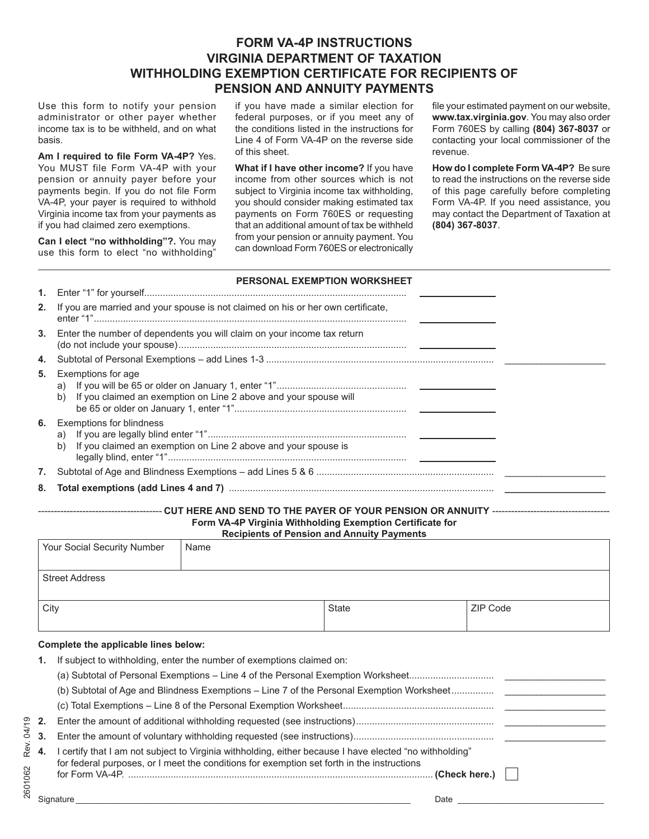# **FORM VA-4P INSTRUCTIONS VIRGINIA DEPARTMENT OF TAXATION WITHHOLDING EXEMPTION CERTIFICATE FOR RECIPIENTS OF PENSION AND ANNUITY PAYMENTS**

Use this form to notify your pension administrator or other payer whether income tax is to be withheld, and on what basis.

**Am I required to file Form VA-4P?** Yes. You MUST file Form VA-4P with your pension or annuity payer before your payments begin. If you do not file Form VA-4P, your payer is required to withhold Virginia income tax from your payments as if you had claimed zero exemptions.

**Can I elect "no withholding"?.** You may use this form to elect "no withholding"

if you have made a similar election for federal purposes, or if you meet any of the conditions listed in the instructions for Line 4 of Form VA-4P on the reverse side of this sheet.

**What if I have other income?** If you have income from other sources which is not subject to Virginia income tax withholding, you should consider making estimated tax payments on Form 760ES or requesting that an additional amount of tax be withheld from your pension or annuity payment. You can download Form 760ES or electronically file your estimated payment on our website, **www.tax.virginia.gov**. You may also order Form 760ES by calling **(804) 367-8037** or contacting your local commissioner of the revenue.

**How do I complete Form VA-4P?** Be sure to read the instructions on the reverse side of this page carefully before completing Form VA-4P. If you need assistance, you may contact the Department of Taxation at **(804) 367-8037**.

|    | <b>PERSONAL EXEMPTION WORKSHEET</b>                                                                                                                                                                                            |
|----|--------------------------------------------------------------------------------------------------------------------------------------------------------------------------------------------------------------------------------|
|    |                                                                                                                                                                                                                                |
| 2. | If you are married and your spouse is not claimed on his or her own certificate,                                                                                                                                               |
|    | 3. Enter the number of dependents you will claim on your income tax return                                                                                                                                                     |
| 4. |                                                                                                                                                                                                                                |
| 5. | Exemptions for age<br>a)<br>If you claimed an exemption on Line 2 above and your spouse will<br>b)                                                                                                                             |
|    | <b>6.</b> Exemptions for blindness<br>b)<br>If you claimed an exemption on Line 2 above and your spouse is                                                                                                                     |
|    |                                                                                                                                                                                                                                |
| 8. | Total exemptions (add Lines 4 and 7) manufactured and manufactured and manufactured and manufactured and manufactured and manufactured and manufactured and manufactured and manufactured and manufactured and manufactured an |
|    |                                                                                                                                                                                                                                |

## **Form VA-4P Virginia Withholding Exemption Certificate for Recipients of Pension and Annuity Payments**

| <b>INVERTIVE OF FUNCTION INTO A PROPERTY TO A PROPERTY</b>                  |                                                                                                  |              |          |  |  |  |  |  |
|-----------------------------------------------------------------------------|--------------------------------------------------------------------------------------------------|--------------|----------|--|--|--|--|--|
|                                                                             | <b>Your Social Security Number</b>                                                               | Name         |          |  |  |  |  |  |
|                                                                             |                                                                                                  |              |          |  |  |  |  |  |
|                                                                             | <b>Street Address</b>                                                                            |              |          |  |  |  |  |  |
|                                                                             |                                                                                                  |              |          |  |  |  |  |  |
| City                                                                        |                                                                                                  | <b>State</b> | ZIP Code |  |  |  |  |  |
|                                                                             |                                                                                                  |              |          |  |  |  |  |  |
|                                                                             | Complete the applicable lines below:                                                             |              |          |  |  |  |  |  |
| If subject to withholding, enter the number of exemptions claimed on:<br>1. |                                                                                                  |              |          |  |  |  |  |  |
|                                                                             | (a) Subtotal of Personal Exemptions – Line 4 of the Personal Exemption Worksheet                 |              |          |  |  |  |  |  |
|                                                                             | (b) Subtotal of Age and Blindness Exemptions – Line 7 of the Personal Exemption Worksheet        |              |          |  |  |  |  |  |
|                                                                             |                                                                                                  |              |          |  |  |  |  |  |
| 2.                                                                          |                                                                                                  |              |          |  |  |  |  |  |
|                                                                             | $\Box$ whou the conservation of contractive contraction and concerned and construction of $\Box$ |              |          |  |  |  |  |  |

|                                                                                                            | $\overline{\phantom{a}}$ |
|------------------------------------------------------------------------------------------------------------|--------------------------|
| 4. I certify that I am not subject to Virginia withholding, either because I have elected "no withholding" |                          |
| for federal purposes, or I meet the conditions for exemption set forth in the instructions                 |                          |
|                                                                                                            |                          |